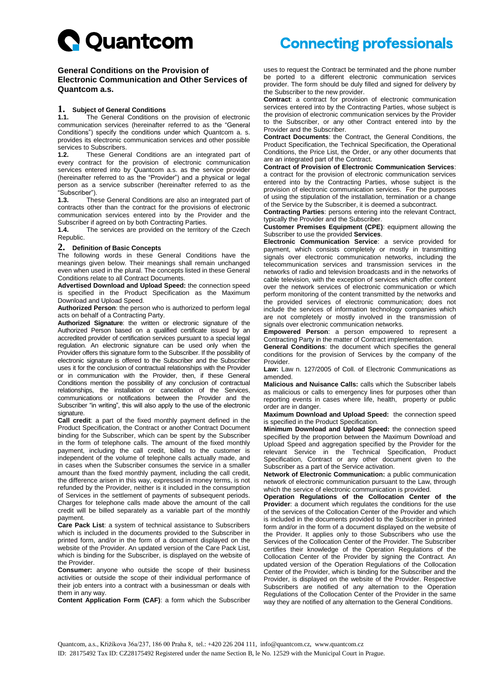

### **General Conditions on the Provision of Electronic Communication and Other Services of Quantcom a.s.**

#### **1. Subject of General Conditions**

**1.1.** The General Conditions on the provision of electronic communication services (hereinafter referred to as the "General Conditions") specify the conditions under which Quantcom a. s. provides its electronic communication services and other possible services to Subscribers.<br>1.2. These Gener

**1.2.** These General Conditions are an integrated part of every contract for the provision of electronic communication services entered into by Quantcom a.s. as the service provider (hereinafter referred to as the "Provider") and a physical or legal person as a service subscriber (hereinafter referred to as the "Subscriber").<br>1.3. The

**1.3.** These General Conditions are also an integrated part of contracts other than the contract for the provisions of electronic communication services entered into by the Provider and the Subscriber if agreed on by both Contracting Parties.

**1.4.** The services are provided on the territory of the Czech Republic.

### **2. Definition of Basic Concepts**

The following words in these General Conditions have the meanings given below. Their meanings shall remain unchanged even when used in the plural. The concepts listed in these General Conditions relate to all Contract Documents.

**Advertised Download and Upload Speed:** the connection speed is specified in the Product Specification as the Maximum Download and Upload Speed.

**Authorized Person**: the person who is authorized to perform legal acts on behalf of a Contracting Party.

**Authorized Signature**: the written or electronic signature of the Authorized Person based on a qualified certificate issued by an accredited provider of certification services pursuant to a special legal regulation. An electronic signature can be used only when the Provider offers this signature form to the Subscriber. If the possibility of electronic signature is offered to the Subscriber and the Subscriber uses it for the conclusion of contractual relationships with the Provider or in communication with the Provider, then, if these General Conditions mention the possibility of any conclusion of contractual relationships, the installation or cancellation of the Services, communications or notifications between the Provider and the Subscriber "in writing", this will also apply to the use of the electronic signature.

**Call credit**: a part of the fixed monthly payment defined in the Product Specification, the Contract or another Contract Document binding for the Subscriber, which can be spent by the Subscriber in the form of telephone calls. The amount of the fixed monthly payment, including the call credit, billed to the customer is independent of the volume of telephone calls actually made, and in cases when the Subscriber consumes the service in a smaller amount than the fixed monthly payment, including the call credit, the difference arisen in this way, expressed in money terms, is not refunded by the Provider, neither is it included in the consumption of Services in the settlement of payments of subsequent periods. Charges for telephone calls made above the amount of the call credit will be billed separately as a variable part of the monthly payment.

**Care Pack List**: a system of technical assistance to Subscribers which is included in the documents provided to the Subscriber in printed form, and/or in the form of a document displayed on the website of the Provider. An updated version of the Care Pack List, which is binding for the Subscriber, is displayed on the website of the Provider.

**Consumer:** anyone who outside the scope of their business activities or outside the scope of their individual performance of their job enters into a contract with a businessman or deals with them in any way.

**Content Application Form (CAF)**: a form which the Subscriber

## **Connecting professionals**

uses to request the Contract be terminated and the phone number be ported to a different electronic communication services provider. The form should be duly filled and signed for delivery by the Subscriber to the new provider.

**Contract**: a contract for provision of electronic communication services entered into by the Contracting Parties, whose subject is the provision of electronic communication services by the Provider to the Subscriber, or any other Contract entered into by the Provider and the Subscriber.

**Contract Documents**: the Contract, the General Conditions, the Product Specification, the Technical Specification, the Operational Conditions, the Price List, the Order, or any other documents that are an integrated part of the Contract.

**Contract of Provision of Electronic Communication Services**: a contract for the provision of electronic communication services entered into by the Contracting Parties, whose subject is the provision of electronic communication services. For the purposes of using the stipulation of the installation, termination or a change of the Service by the Subscriber, it is deemed a subcontract.

**Contracting Parties**: persons entering into the relevant Contract, typically the Provider and the Subscriber.

**Customer Premises Equipment (CPE)**: equipment allowing the Subscriber to use the provided **Services**.

**Electronic Communication Service**: a service provided for payment, which consists completely or mostly in transmitting signals over electronic communication networks, including the telecommunication services and transmission services in the networks of radio and television broadcasts and in the networks of cable television, with the exception of services which offer content over the network services of electronic communication or which perform monitoring of the content transmitted by the networks and the provided services of electronic communication; does not include the services of information technology companies which are not completely or mostly involved in the transmission of signals over electronic communication networks.

**Empowered Person**: a person empowered to represent a Contracting Party in the matter of Contract implementation.

**General Conditions**: the document which specifies the general conditions for the provision of Services by the company of the Provider.

**Law:** Law n. 127/2005 of Coll. of Electronic Communications as amended.

**Malicious and Nuisance Calls:** calls which the Subscriber labels as malicious or calls to emergency lines for purposes other than reporting events in cases where life, health, property or public order are in danger.

**Maximum Download and Upload Speed:** the connection speed is specified in the Product Specification.

**Minimum Download and Upload Speed:** the connection speed specified by the proportion between the Maximum Download and Upload Speed and aggregation specified by the Provider for the relevant Service in the Technical Specification, Product Specification, Contract or any other document given to the Subscriber as a part of the Service activation.

**Network of Electronic Communication:** a public communication network of electronic communication pursuant to the Law, through which the service of electronic communication is provided.

**Operation Regulations of the Collocation Center of the Provider**: a document which regulates the conditions for the use of the services of the Collocation Center of the Provider and which is included in the documents provided to the Subscriber in printed form and/or in the form of a document displayed on the website of the Provider. It applies only to those Subscribers who use the Services of the Collocation Center of the Provider. The Subscriber certifies their knowledge of the Operation Regulations of the Collocation Center of the Provider by signing the Contract. An updated version of the Operation Regulations of the Collocation Center of the Provider, which is binding for the Subscriber and the Provider, is displayed on the website of the Provider. Respective Subscribers are notified of any alternation to the Operation Regulations of the Collocation Center of the Provider in the same way they are notified of any alternation to the General Conditions.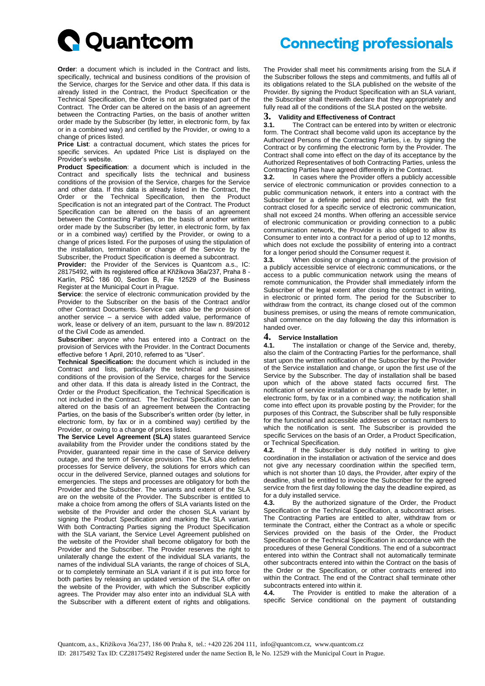

**Order:** a document which is included in the Contract and lists specifically, technical and business conditions of the provision of the Service, charges for the Service and other data. If this data is already listed in the Contract, the Product Specification or the Technical Specification, the Order is not an integrated part of the Contract. The Order can be altered on the basis of an agreement between the Contracting Parties, on the basis of another written order made by the Subscriber (by letter, in electronic form, by fax or in a combined way) and certified by the Provider, or owing to a change of prices listed.

**Price List**: a contractual document, which states the prices for specific services. An updated Price List is displayed on the Provider's website.

**Product Specification**: a document which is included in the Contract and specifically lists the technical and business conditions of the provision of the Service, charges for the Service and other data. If this data is already listed in the Contract, the Order or the Technical Specification, then the Product Specification is not an integrated part of the Contract. The Product Specification can be altered on the basis of an agreement between the Contracting Parties, on the basis of another written order made by the Subscriber (by letter, in electronic form, by fax or in a combined way) certified by the Provider, or owing to a change of prices listed. For the purposes of using the stipulation of the installation, termination or change of the Service by the Subscriber, the Product Specification is deemed a subcontract.

**Provider:** the Provider of the Services is Quantcom a.s., IC: 28175492, with its registered office at Křižíkova 36a/237, Praha 8 - Karlín, PSČ 186 00, Section B, File 12529 of the Business Register at the Municipal Court in Prague.

**Service**: the service of electronic communication provided by the Provider to the Subscriber on the basis of the Contract and/or other Contract Documents. Service can also be the provision of another service – a service with added value, performance of work, lease or delivery of an item, pursuant to the law n. 89/2012 of the Civil Code as amended.

**Subscriber**: anyone who has entered into a Contract on the provision of Services with the Provider. In the Contract Documents effective before 1 April, 2010, referred to as "User".

**Technical Specification:** the document which is included in the Contract and lists, particularly the technical and business conditions of the provision of the Service, charges for the Service and other data. If this data is already listed in the Contract, the Order or the Product Specification, the Technical Specification is not included in the Contract. The Technical Specification can be altered on the basis of an agreement between the Contracting Parties, on the basis of the Subscriber's written order (by letter, in electronic form, by fax or in a combined way) certified by the Provider, or owing to a change of prices listed.

**The Service Level Agreement (SLA)** states guaranteed Service availability from the Provider under the conditions stated by the Provider, guaranteed repair time in the case of Service delivery outage, and the term of Service provision. The SLA also defines processes for Service delivery, the solutions for errors which can occur in the delivered Service, planned outages and solutions for emergencies. The steps and processes are obligatory for both the Provider and the Subscriber. The variants and extent of the SLA are on the website of the Provider. The Subscriber is entitled to make a choice from among the offers of SLA variants listed on the website of the Provider and order the chosen SLA variant by signing the Product Specification and marking the SLA variant. With both Contracting Parties signing the Product Specification with the SLA variant, the Service Level Agreement published on the website of the Provider shall become obligatory for both the Provider and the Subscriber. The Provider reserves the right to unilaterally change the extent of the individual SLA variants, the names of the individual SLA variants, the range of choices of SLA, or to completely terminate an SLA variant if it is put into force for both parties by releasing an updated version of the SLA offer on the website of the Provider, with which the Subscriber explicitly agrees. The Provider may also enter into an individual SLA with the Subscriber with a different extent of rights and obligations.

# **Connecting professionals**

The Provider shall meet his commitments arising from the SLA if the Subscriber follows the steps and commitments, and fulfils all of its obligations related to the SLA published on the website of the Provider. By signing the Product Specification with an SLA variant, the Subscriber shall therewith declare that they appropriately and fully read all of the conditions of the SLA posted on the website.

### **3. Validity and Effectiveness of Contract**

**3.1.** The Contract can be entered into by written or electronic form. The Contract shall become valid upon its acceptance by the Authorized Persons of the Contracting Parties, i.e. by signing the Contract or by confirming the electronic form by the Provider. The Contract shall come into effect on the day of its acceptance by the Authorized Representatives of both Contracting Parties, unless the Contracting Parties have agreed differently in the Contract.

**3.2.** In cases where the Provider offers a publicly accessible service of electronic communication or provides connection to a public communication network, it enters into a contract with the Subscriber for a definite period and this period, with the first contract closed for a specific service of electronic communication, shall not exceed 24 months. When offering an accessible service of electronic communication or providing connection to a public communication network, the Provider is also obliged to allow its Consumer to enter into a contract for a period of up to 12 months, which does not exclude the possibility of entering into a contract for a longer period should the Consumer request it.

**3.3.** When closing or changing a contract of the provision of a publicly accessible service of electronic communications, or the access to a public communication network using the means of remote communication, the Provider shall immediately inform the Subscriber of the legal extent after closing the contract in writing, in electronic or printed form. The period for the Subscriber to withdraw from the contract, its change closed out of the common business premises, or using the means of remote communication, shall commence on the day following the day this information is handed over.

### **4. Service Installation**

The installation or change of the Service and, thereby, also the claim of the Contracting Parties for the performance, shall start upon the written notification of the Subscriber by the Provider of the Service installation and change, or upon the first use of the Service by the Subscriber. The day of installation shall be based upon which of the above stated facts occurred first. The notification of service installation or a change is made by letter, in electronic form, by fax or in a combined way; the notification shall come into effect upon its provable posting by the Provider; for the purposes of this Contract, the Subscriber shall be fully responsible for the functional and accessible addresses or contact numbers to which the notification is sent. The Subscriber is provided the specific Services on the basis of an Order, a Product Specification, or Technical Specification.

**4.2.** If the Subscriber is duly notified in writing to give coordination in the installation or activation of the service and does not give any necessary coordination within the specified term, which is not shorter than 10 days, the Provider, after expiry of the deadline, shall be entitled to invoice the Subscriber for the agreed service from the first day following the day the deadline expired, as for a duly installed service.

4.3. By the authorized signature of the Order, the Product Specification or the Technical Specification, a subcontract arises. The Contracting Parties are entitled to alter, withdraw from or terminate the Contract, either the Contract as a whole or specific Services provided on the basis of the Order, the Product Specification or the Technical Specification in accordance with the procedures of these General Conditions. The end of a subcontract entered into within the Contract shall not automatically terminate other subcontracts entered into within the Contract on the basis of the Order or the Specification, or other contracts entered into within the Contract. The end of the Contract shall terminate other subcontracts entered into within it.<br>4.4. The Provider is entitled

**4.4.** The Provider is entitled to make the alteration of a specific Service conditional on the payment of outstanding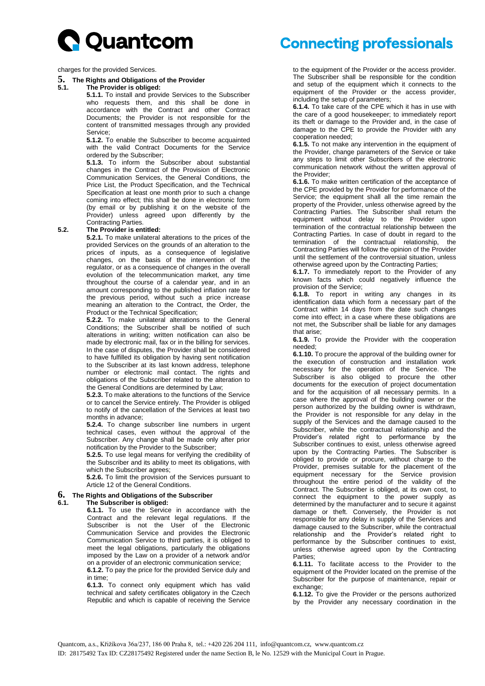

charges for the provided Services.

**5. The Rights and Obligations of the Provider**

#### **5.1. The Provider is obliged:**

**5.1.1.** To install and provide Services to the Subscriber who requests them, and this shall be done in accordance with the Contract and other Contract Documents; the Provider is not responsible for the content of transmitted messages through any provided Service;

**5.1.2.** To enable the Subscriber to become acquainted with the valid Contract Documents for the Service ordered by the Subscriber;

**5.1.3.** To inform the Subscriber about substantial changes in the Contract of the Provision of Electronic Communication Services, the General Conditions, the Price List, the Product Specification, and the Technical Specification at least one month prior to such a change coming into effect; this shall be done in electronic form (by email or by publishing it on the website of the Provider) unless agreed upon differently by the Contracting Parties.

### **5.2. The Provider is entitled:**

**5.2.1.** To make unilateral alterations to the prices of the provided Services on the grounds of an alteration to the prices of inputs, as a consequence of legislative changes, on the basis of the intervention of the regulator, or as a consequence of changes in the overall evolution of the telecommunication market, any time throughout the course of a calendar year, and in an amount corresponding to the published inflation rate for the previous period, without such a price increase meaning an alteration to the Contract, the Order, the Product or the Technical Specification;

**5.2.2.** To make unilateral alterations to the General Conditions; the Subscriber shall be notified of such alterations in writing; written notification can also be made by electronic mail, fax or in the billing for services. In the case of disputes, the Provider shall be considered to have fulfilled its obligation by having sent notification to the Subscriber at its last known address, telephone number or electronic mail contact. The rights and obligations of the Subscriber related to the alteration to the General Conditions are determined by Law;

**5.2.3.** To make alterations to the functions of the Service or to cancel the Service entirely. The Provider is obliged to notify of the cancellation of the Services at least two months in advance;

**5.2.4.** To change subscriber line numbers in urgent technical cases, even without the approval of the Subscriber. Any change shall be made only after prior notification by the Provider to the Subscriber;

**5.2.5.** To use legal means for verifying the credibility of the Subscriber and its ability to meet its obligations, with which the Subscriber agrees;

**5.2.6.** To limit the provision of the Services pursuant to Article 12 of the General Conditions.

### **6. The Rights and Obligations of the Subscriber**

**6.1. The Subscriber is obliged: 6.1.1.** To use the Service in accordance with the Contract and the relevant legal regulations. If the Subscriber is not the User of the Electronic Communication Service and provides the Electronic Communication Service to third parties, it is obliged to meet the legal obligations, particularly the obligations imposed by the Law on a provider of a network and/or

on a provider of an electronic communication service; **6.1.2.** To pay the price for the provided Service duly and in time;

**6.1.3.** To connect only equipment which has valid technical and safety certificates obligatory in the Czech Republic and which is capable of receiving the Service

# **Connecting professionals**

to the equipment of the Provider or the access provider. The Subscriber shall be responsible for the condition and setup of the equipment which it connects to the equipment of the Provider or the access provider, including the setup of parameters;

**6.1.4.** To take care of the CPE which it has in use with the care of a good housekeeper; to immediately report its theft or damage to the Provider and, in the case of damage to the CPE to provide the Provider with any cooperation needed;

**6.1.5.** To not make any intervention in the equipment of the Provider, change parameters of the Service or take any steps to limit other Subscribers of the electronic communication network without the written approval of the Provider;

**6.1.6.** To make written certification of the acceptance of the CPE provided by the Provider for performance of the Service; the equipment shall all the time remain the property of the Provider, unless otherwise agreed by the Contracting Parties. The Subscriber shall return the equipment without delay to the Provider upon termination of the contractual relationship between the Contracting Parties. In case of doubt in regard to the termination of the contractual relationship, the Contracting Parties will follow the opinion of the Provider until the settlement of the controversial situation, unless otherwise agreed upon by the Contracting Parties;

**6.1.7.** To immediately report to the Provider of any known facts which could negatively influence the provision of the Service;

**6.1.8.** To report in writing any changes in its identification data which form a necessary part of the Contract within 14 days from the date such changes come into effect; in a case where these obligations are not met, the Subscriber shall be liable for any damages that arise;

**6.1.9.** To provide the Provider with the cooperation needed;

**6.1.10.** To procure the approval of the building owner for the execution of construction and installation work necessary for the operation of the Service. The Subscriber is also obliged to procure the other documents for the execution of project documentation and for the acquisition of all necessary permits. In a case where the approval of the building owner or the person authorized by the building owner is withdrawn, the Provider is not responsible for any delay in the supply of the Services and the damage caused to the Subscriber, while the contractual relationship and the Provider's related right to performance by the Subscriber continues to exist, unless otherwise agreed upon by the Contracting Parties. The Subscriber is obliged to provide or procure, without charge to the Provider, premises suitable for the placement of the equipment necessary for the Service provision throughout the entire period of the validity of the Contract. The Subscriber is obliged, at its own cost, to connect the equipment to the power supply as determined by the manufacturer and to secure it against damage or theft. Conversely, the Provider is not responsible for any delay in supply of the Services and damage caused to the Subscriber, while the contractual relationship and the Provider's related right to performance by the Subscriber continues to exist, unless otherwise agreed upon by the Contracting Parties;

**6.1.11.** To facilitate access to the Provider to the equipment of the Provider located on the premise of the Subscriber for the purpose of maintenance, repair or exchange;

**6.1.12.** To give the Provider or the persons authorized by the Provider any necessary coordination in the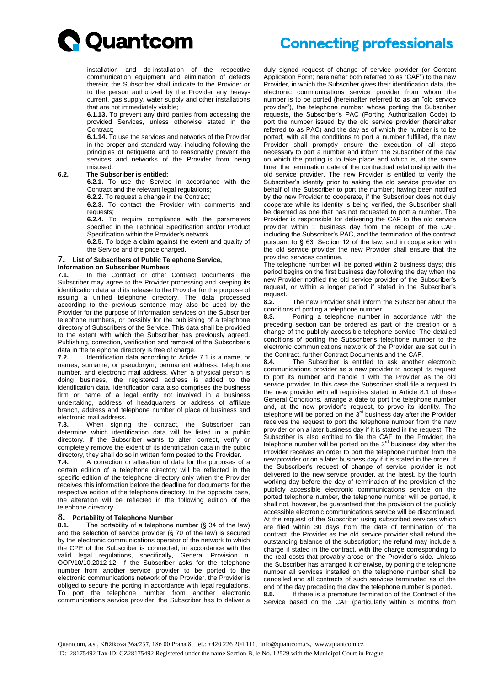

installation and de-installation of the respective communication equipment and elimination of defects therein; the Subscriber shall indicate to the Provider or to the person authorized by the Provider any heavycurrent, gas supply, water supply and other installations that are not immediately visible;

**6.1.13.** To prevent any third parties from accessing the provided Services, unless otherwise stated in the Contract;

**6.1.14.** To use the services and networks of the Provider in the proper and standard way, including following the principles of netiquette and to reasonably prevent the services and networks of the Provider from being misused.

#### **6.2. The Subscriber is entitled:**

**6.2.1.** To use the Service in accordance with the Contract and the relevant legal regulations; **6.2.2.** To request a change in the Contract;

**6.2.3.** To contact the Provider with comments and requests;

**6.2.4.** To require compliance with the parameters specified in the Technical Specification and/or Product Specification within the Provider's network.

**6.2.5.** To lodge a claim against the extent and quality of the Service and the price charged.

#### **7. List of Subscribers of Public Telephone Service,**

#### **Information on Subscriber Numbers**

**7.1.** In the Contract or other Contract Documents, the Subscriber may agree to the Provider processing and keeping its identification data and its release to the Provider for the purpose of issuing a unified telephone directory. The data processed according to the previous sentence may also be used by the Provider for the purpose of information services on the Subscriber telephone numbers, or possibly for the publishing of a telephone directory of Subscribers of the Service. This data shall be provided to the extent with which the Subscriber has previously agreed. Publishing, correction, verification and removal of the Subscriber's data in the telephone directory is free of charge.

**7.2.** Identification data according to Article 7.1 is a name, or names, surname, or pseudonym, permanent address, telephone number, and electronic mail address. When a physical person is doing business, the registered address is added to the identification data. Identification data also comprises the business firm or name of a legal entity not involved in a business undertaking, address of headquarters or address of affiliate branch, address and telephone number of place of business and

electronic mail address.<br>**7.3.** When signing **7.3.** When signing the contract, the Subscriber can determine which identification data will be listed in a public directory. If the Subscriber wants to alter, correct, verify or completely remove the extent of its identification data in the public directory, they shall do so in written form posted to the Provider.

**7.4.** A correction or alteration of data for the purposes of a certain edition of a telephone directory will be reflected in the specific edition of the telephone directory only when the Provider receives this information before the deadline for documents for the respective edition of the telephone directory. In the opposite case, the alteration will be reflected in the following edition of the telephone directory.

## **8.** Portability of Telephone Number<br>**8.1.** The portability of a telephone

**8.1.** The portability of a telephone number (§ 34 of the law) and the selection of service provider (§ 70 of the law) is secured by the electronic communications operator of the network to which the CPE of the Subscriber is connected, in accordance with the valid legal regulations, specifically, General Provision n. OOP/10/10.2012-12. If the Subscriber asks for the telephone number from another service provider to be ported to the electronic communications network of the Provider, the Provider is obliged to secure the porting in accordance with legal regulations. To port the telephone number from another electronic communications service provider, the Subscriber has to deliver a

# **Connecting professionals**

duly signed request of change of service provider (or Content Application Form; hereinafter both referred to as "CAF") to the new Provider, in which the Subscriber gives their identification data, the electronic communications service provider from whom the number is to be ported (hereinafter referred to as an "old service provider"), the telephone number whose porting the Subscriber requests, the Subscriber's PAC (Porting Authorization Code) to port the number issued by the old service provider (hereinafter referred to as PAC) and the day as of which the number is to be ported; with all the conditions to port a number fulfilled, the new Provider shall promptly ensure the execution of all steps necessary to port a number and inform the Subscriber of the day on which the porting is to take place and which is, at the same time, the termination date of the contractual relationship with the old service provider. The new Provider is entitled to verify the Subscriber's identity prior to asking the old service provider on behalf of the Subscriber to port the number; having been notified by the new Provider to cooperate, if the Subscriber does not duly cooperate while its identity is being verified, the Subscriber shall be deemed as one that has not requested to port a number. The Provider is responsible for delivering the CAF to the old service provider within 1 business day from the receipt of the CAF, including the Subscriber's PAC, and the termination of the contract pursuant to § 63, Section 12 of the law, and in cooperation with the old service provider the new Provider shall ensure that the provided services continue.

The telephone number will be ported within 2 business days; this period begins on the first business day following the day when the new Provider notified the old service provider of the Subscriber's request, or within a longer period if stated in the Subscriber's request.

**8.2.** The new Provider shall inform the Subscriber about the conditions of porting a telephone number.

**8.3.** Porting a telephone number in accordance with the preceding section can be ordered as part of the creation or a change of the publicly accessible telephone service. The detailed conditions of porting the Subscriber's telephone number to the electronic communications network of the Provider are set out in

the Contract, further Contract Documents and the CAF.<br>**8.4.** The Subscriber is entitled to ask another **8.4.** The Subscriber is entitled to ask another electronic communications provider as a new provider to accept its request to port its number and handle it with the Provider as the old service provider. In this case the Subscriber shall file a request to the new provider with all requisites stated in Article 8.1 of these General Conditions, arrange a date to port the telephone number and, at the new provider's request, to prove its identity. The telephone will be ported on the  $3<sup>rd</sup>$  business day after the Provider receives the request to port the telephone number from the new provider or on a later business day if it is stated in the request. The Subscriber is also entitled to file the CAF to the Provider; the telephone number will be ported on the  $3<sup>rd</sup>$  business day after the Provider receives an order to port the telephone number from the new provider or on a later business day if it is stated in the order. If the Subscriber's request of change of service provider is not delivered to the new service provider, at the latest, by the fourth working day before the day of termination of the provision of the publicly accessible electronic communications service on the ported telephone number, the telephone number will be ported, it shall not, however, be guaranteed that the provision of the publicly accessible electronic communications service will be discontinued. At the request of the Subscriber using subscribed services which are filed within 30 days from the date of termination of the contract, the Provider as the old service provider shall refund the outstanding balance of the subscription; the refund may include a charge if stated in the contract, with the charge corresponding to the real costs that provably arose on the Provider's side. Unless the Subscriber has arranged it otherwise, by porting the telephone number all services installed on the telephone number shall be cancelled and all contracts of such services terminated as of the end of the day preceding the day the telephone number is ported. **8.5.** If there is a premature termination of the Contract of the Service based on the CAF (particularly within 3 months from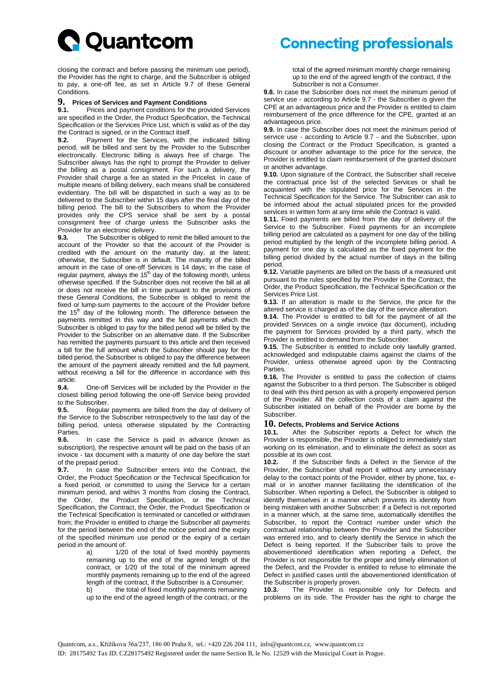

closing the contract and before passing the minimum use period), the Provider has the right to charge, and the Subscriber is obliged to pay, a one-off fee, as set in Article 9.7 of these General Conditions.

## **9. Prices of Services and Payment Conditions**

**9.1.** Prices and payment conditions for the provided Services are specified in the Order, the Product Specification, the Technical Specification or the Services Price List, which is valid as of the day the Contract is signed, or in the Contract itself.

**9.2.** Payment for the Services, with the indicated billing period, will be billed and sent by the Provider to the Subscriber electronically. Electronic billing is always free of charge. The Subscriber always has the right to prompt the Provider to deliver the billing as a postal consignment. For such a delivery, the Provider shall charge a fee as stated in the Pricelist. In case of multiple means of billing delivery, each means shall be considered evidentiary. The bill will be dispatched in such a way as to be delivered to the Subscriber within 15 days after the final day of the billing period. The bill to the Subscribers to whom the Provider provides only the CPS service shall be sent by a postal consignment free of charge unless the Subscriber asks the Provider for an electronic delivery.

**9.3.** The Subscriber is obliged to remit the billed amount to the account of the Provider so that the account of the Provider is credited with the amount on the maturity day, at the latest; otherwise, the Subscriber is in default. The maturity of the billed amount in the case of one-off Services is 14 days; in the case of regular payment, always the 15<sup>th</sup> day of the following month, unless otherwise specified. If the Subscriber does not receive the bill at all or does not receive the bill in time pursuant to the provisions of these General Conditions, the Subscriber is obliged to remit the fixed or lump-sum payments to the account of the Provider before the  $15<sup>th</sup>$  day of the following month. The difference between the payments remitted in this way and the full payments which the Subscriber is obliged to pay for the billed period will be billed by the Provider to the Subscriber on an alternative date. If the Subscriber has remitted the payments pursuant to this article and then received a bill for the full amount which the Subscriber should pay for the billed period, the Subscriber is obliged to pay the difference between the amount of the payment already remitted and the full payment, without receiving a bill for the difference in accordance with this article.

**9.4.** One-off Services will be included by the Provider in the closest billing period following the one-off Service being provided to the Subscriber.

**9.5.** Regular payments are billed from the day of delivery of the Service to the Subscriber retrospectively to the last day of the billing period, unless otherwise stipulated by the Contracting Parties.

**9.6.** In case the Service is paid in advance (known as subscription), the respective amount will be paid on the basis of an invoice - tax document with a maturity of one day before the start of the prepaid period.

**9.7.** In case the Subscriber enters into the Contract, the Order, the Product Specification or the Technical Specification for a fixed period, or committed to using the Service for a certain minimum period, and within 3 months from closing the Contract, the Order, the Product Specification, or the Technical Specification, the Contract, the Order, the Product Specification or the Technical Specification is terminated or cancelled or withdrawn from; the Provider is entitled to charge the Subscriber all payments for the period between the end of the notice period and the expiry of the specified minimum use period or the expiry of a certain period in the amount of:

a) 1/20 of the total of fixed monthly payments remaining up to the end of the agreed length of the contract, or 1/20 of the total of the minimum agreed monthly payments remaining up to the end of the agreed length of the contract, if the Subscriber is a Consumer;

b) the total of fixed monthly payments remaining up to the end of the agreed length of the contract, or the

# **Connecting professionals**

total of the agreed minimum monthly charge remaining up to the end of the agreed length of the contract, if the Subscriber is not a Consumer.

**9.8.** In case the Subscriber does not meet the minimum period of service use - according to Article 9.7 - the Subscriber is given the CPE at an advantageous price and the Provider is entitled to claim reimbursement of the price difference for the CPE, granted at an advantageous price.

**9.9.** In case the Subscriber does not meet the minimum period of service use - according to Article 9.7 - and the Subscriber, upon closing the Contract or the Product Specification, is granted a discount or another advantage to the price for the service, the Provider is entitled to claim reimbursement of the granted discount or another advantage.

**9.10.** Upon signature of the Contract, the Subscriber shall receive the contractual price list of the selected Services or shall be acquainted with the stipulated price for the Services in the Technical Specification for the Service. The Subscriber can ask to be informed about the actual stipulated prices for the provided services in written form at any time while the Contract is valid.

**9.11.** Fixed payments are billed from the day of delivery of the Service to the Subscriber. Fixed payments for an incomplete billing period are calculated as a payment for one day of the billing period multiplied by the length of the incomplete billing period. A payment for one day is calculated as the fixed payment for the billing period divided by the actual number of days in the billing period.

**9.12.** Variable payments are billed on the basis of a measured unit pursuant to the rules specified by the Provider in the Contract, the Order, the Product Specification, the Technical Specification or the Services Price List.

**9.13.** If an alteration is made to the Service, the price for the altered service is charged as of the day of the service alteration.

**9.14.** The Provider is entitled to bill for the payment of all the provided Services on a single invoice (tax document), including the payment for Services provided by a third party, which the Provider is entitled to demand from the Subscriber.

**9.15.** The Subscriber is entitled to include only lawfully granted, acknowledged and indisputable claims against the claims of the Provider, unless otherwise agreed upon by the Contracting Parties.

**9.16.** The Provider is entitled to pass the collection of claims against the Subscriber to a third person. The Subscriber is obliged to deal with this third person as with a properly empowered person of the Provider. All the collection costs of a claim against the Subscriber initiated on behalf of the Provider are borne by the Subscriber.

### **10. Defects, Problems and Service Actions**

After the Subscriber reports a Defect for which the Provider is responsible, the Provider is obliged to immediately start working on its elimination, and to eliminate the defect as soon as possible at its own cost.

**10.2.** If the Subscriber finds a Defect in the Service of the Provider, the Subscriber shall report it without any unnecessary delay to the contact points of the Provider, either by phone, fax, email or in another manner facilitating the identification of the Subscriber. When reporting a Defect, the Subscriber is obliged to identify themselves in a manner which prevents its identity from being mistaken with another Subscriber; if a Defect is not reported in a manner which, at the same time, automatically identifies the Subscriber, to report the Contract number under which the contractual relationship between the Provider and the Subscriber was entered into, and to clearly identify the Service in which the Defect is being reported. If the Subscriber fails to prove the abovementioned identification when reporting a Defect, the Provider is not responsible for the proper and timely elimination of the Defect, and the Provider is entitled to refuse to eliminate the Defect in justified cases until the abovementioned identification of the Subscriber is properly proven.

**10.3.** The Provider is responsible only for Defects and problems on its side. The Provider has the right to charge the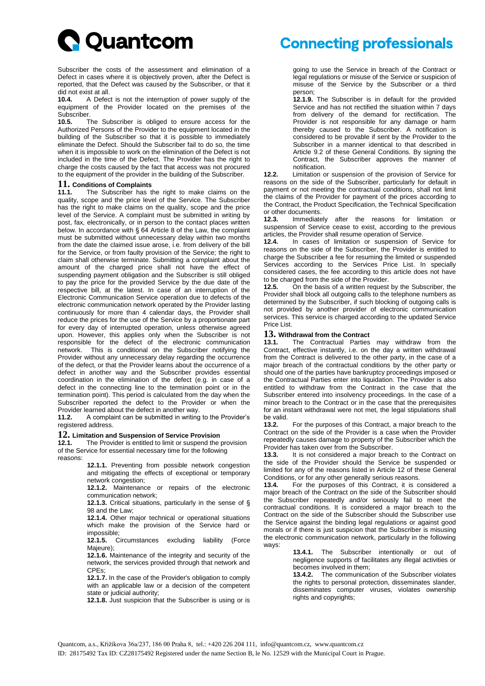

Subscriber the costs of the assessment and elimination of a Defect in cases where it is objectively proven, after the Defect is reported, that the Defect was caused by the Subscriber, or that it did not exist at all.

**10.4.** A Defect is not the interruption of power supply of the equipment of the Provider located on the premises of the Subscriber.<br>10.5. T

**10.5.** The Subscriber is obliged to ensure access for the Authorized Persons of the Provider to the equipment located in the building of the Subscriber so that it is possible to immediately eliminate the Defect. Should the Subscriber fail to do so, the time when it is impossible to work on the elimination of the Defect is not included in the time of the Defect. The Provider has the right to charge the costs caused by the fact that access was not procured to the equipment of the provider in the building of the Subscriber.

### **11. Conditions of Complaints**

**11.1.** The Subscriber has the right to make claims on the quality, scope and the price level of the Service. The Subscriber has the right to make claims on the quality, scope and the price level of the Service. A complaint must be submitted in writing by post, fax, electronically, or in person to the contact places written below. In accordance with § 64 Article 8 of the Law, the complaint must be submitted without unnecessary delay within two months from the date the claimed issue arose, i.e. from delivery of the bill for the Service, or from faulty provision of the Service; the right to claim shall otherwise terminate. Submitting a complaint about the amount of the charged price shall not have the effect of suspending payment obligation and the Subscriber is still obliged to pay the price for the provided Service by the due date of the respective bill, at the latest. In case of an interruption of the Electronic Communication Service operation due to defects of the electronic communication network operated by the Provider lasting continuously for more than 4 calendar days, the Provider shall reduce the prices for the use of the Service by a proportionate part for every day of interrupted operation, unless otherwise agreed upon. However, this applies only when the Subscriber is not responsible for the defect of the electronic communication network. This is conditional on the Subscriber notifying the Provider without any unnecessary delay regarding the occurrence of the defect, or that the Provider learns about the occurrence of a defect in another way and the Subscriber provides essential coordination in the elimination of the defect (e.g. in case of a defect in the connecting line to the termination point or in the termination point). This period is calculated from the day when the Subscriber reported the defect to the Provider or when the Provider learned about the defect in another way.

**11.2.** A complaint can be submitted in writing to the Provider's registered address.

### **12. Limitation and Suspension of Service Provision**

**12.1.** The Provider is entitled to limit or suspend the provision of the Service for essential necessary time for the following reasons:

> **12.1.1.** Preventing from possible network congestion and mitigating the effects of exceptional or temporary network congestion;

> **12.1.2.** Maintenance or repairs of the electronic communication network;

> **12.1.3.** Critical situations, particularly in the sense of § 98 and the Law;

> **12.1.4.** Other major technical or operational situations which make the provision of the Service hard or impossible;

> **12.1.5.** Circumstances excluding liability (Force Majeure);

> **12.1.6.** Maintenance of the integrity and security of the network, the services provided through that network and CPEs;

> **12.1.7.** In the case of the Provider's obligation to comply with an applicable law or a decision of the competent state or judicial authority;

> **12.1.8.** Just suspicion that the Subscriber is using or is

## **Connecting professionals**

going to use the Service in breach of the Contract or legal regulations or misuse of the Service or suspicion of misuse of the Service by the Subscriber or a third person;

**12.1.9.** The Subscriber is in default for the provided Service and has not rectified the situation within 7 days from delivery of the demand for rectification. The Provider is not responsible for any damage or harm thereby caused to the Subscriber. A notification is considered to be provable if sent by the Provider to the Subscriber in a manner identical to that described in Article 9.2 of these General Conditions. By signing the Contract, the Subscriber approves the manner of notification.

**12.2.** Limitation or suspension of the provision of Service for reasons on the side of the Subscriber, particularly for default in payment or not meeting the contractual conditions, shall not limit the claims of the Provider for payment of the prices according to the Contract, the Product Specification, the Technical Specification or other documents.

**12.3.** Immediately after the reasons for limitation or suspension of Service cease to exist, according to the previous articles, the Provider shall resume operation of Service.

**12.4.** In cases of limitation or suspension of Service for reasons on the side of the Subscriber, the Provider is entitled to charge the Subscriber a fee for resuming the limited or suspended Services according to the Services Price List. In specially considered cases, the fee according to this article does not have to be charged from the side of the Provider.<br>12.5 On the basis of a written request

**12.5.** On the basis of a written request by the Subscriber, the Provider shall block all outgoing calls to the telephone numbers as determined by the Subscriber, if such blocking of outgoing calls is not provided by another provider of electronic communication services. This service is charged according to the updated Service Price List.

## 13. **Withdrawal from the Contract**<br>13.1. The Contractual Parties

**13.1.** The Contractual Parties may withdraw from the Contract, effective instantly, i.e. on the day a written withdrawal from the Contract is delivered to the other party, in the case of a major breach of the contractual conditions by the other party or should one of the parties have bankruptcy proceedings imposed or the Contractual Parties enter into liquidation. The Provider is also entitled to withdraw from the Contract in the case that the Subscriber entered into insolvency proceedings. In the case of a minor breach to the Contract or in the case that the prerequisites for an instant withdrawal were not met, the legal stipulations shall be valid.<br>13.2.

**13.2.** For the purposes of this Contract, a major breach to the Contract on the side of the Provider is a case when the Provider repeatedly causes damage to property of the Subscriber which the Provider has taken over from the Subscriber.

**13.3.** It is not considered a major breach to the Contract on the side of the Provider should the Service be suspended or limited for any of the reasons listed in Article 12 of these General Conditions, or for any other generally serious reasons.<br>**13.4.** For the purposes of this Contract, it is c

**13.4.** For the purposes of this Contract, it is considered a major breach of the Contract on the side of the Subscriber should the Subscriber repeatedly and/or seriously fail to meet the contractual conditions. It is considered a major breach to the Contract on the side of the Subscriber should the Subscriber use the Service against the binding legal regulations or against good morals or if there is just suspicion that the Subscriber is misusing the electronic communication network, particularly in the following ways:

> **13.4.1.** The Subscriber intentionally or out of negligence supports of facilitates any illegal activities or becomes involved in them;

> **13.4.2.** The communication of the Subscriber violates the rights to personal protection, disseminates slander, disseminates computer viruses, violates ownership rights and copyrights;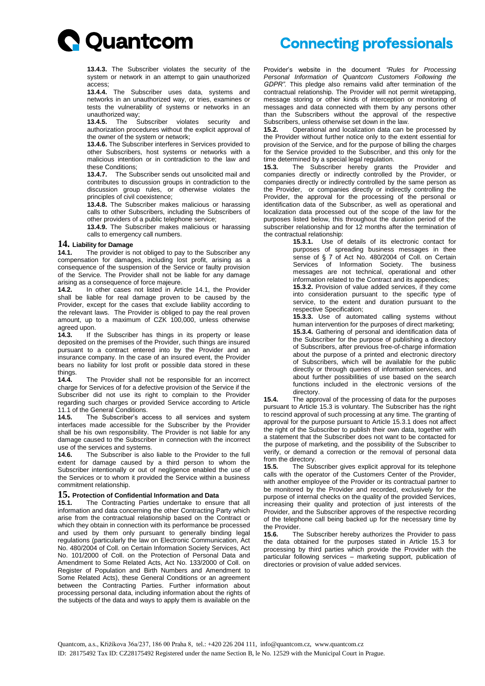

# **Connecting professionals**

**13.4.3.** The Subscriber violates the security of the system or network in an attempt to gain unauthorized access;

**13.4.4.** The Subscriber uses data, systems and networks in an unauthorized way, or tries, examines or tests the vulnerability of systems or networks in an unauthorized way;

**13.4.5.** The Subscriber violates security and authorization procedures without the explicit approval of the owner of the system or network;

**13.4.6.** The Subscriber interferes in Services provided to other Subscribers, host systems or networks with a malicious intention or in contradiction to the law and these Conditions;

**13.4.7.** The Subscriber sends out unsolicited mail and contributes to discussion groups in contradiction to the discussion group rules, or otherwise violates the principles of civil coexistence;

**13.4.8.** The Subscriber makes malicious or harassing calls to other Subscribers, including the Subscribers of other providers of a public telephone service;

**13.4.9.** The Subscriber makes malicious or harassing calls to emergency call numbers.

#### **14. Liability for Damage**

**14.1.** The provider is not obliged to pay to the Subscriber any compensation for damages, including lost profit, arising as a consequence of the suspension of the Service or faulty provision of the Service. The Provider shall not be liable for any damage arising as a consequence of force majeure.<br>**14.2.** In other cases not listed in Art

**14.2.** In other cases not listed in Article 14.1, the Provider shall be liable for real damage proven to be caused by the Provider, except for the cases that exclude liability according to the relevant laws. The Provider is obliged to pay the real proven amount, up to a maximum of CZK 100,000, unless otherwise agreed upon.

**14.3.** If the Subscriber has things in its property or lease deposited on the premises of the Provider, such things are insured pursuant to a contract entered into by the Provider and an insurance company. In the case of an insured event, the Provider bears no liability for lost profit or possible data stored in these things.<br>14.4.

**14.4.** The Provider shall not be responsible for an incorrect charge for Services of for a defective provision of the Service if the Subscriber did not use its right to complain to the Provider regarding such charges or provided Service according to Article 11.1 of the General Conditions.

**14.5.** The Subscriber's access to all services and system interfaces made accessible for the Subscriber by the Provider shall be his own responsibility. The Provider is not liable for any damage caused to the Subscriber in connection with the incorrect use of the services and systems.

**14.6.** The Subscriber is also liable to the Provider to the full extent for damage caused by a third person to whom the Subscriber intentionally or out of negligence enabled the use of the Services or to whom it provided the Service within a business commitment relationship.

## **15. Protection of Confidential Information and Data**

**15.1.** The Contracting Parties undertake to ensure that all information and data concerning the other Contracting Party which arise from the contractual relationship based on the Contract or which they obtain in connection with its performance be processed and used by them only pursuant to generally binding legal regulations (particularly the law on Electronic Communication, Act No. 480/2004 of Coll. on Certain Information Society Services, Act No. 101/2000 of Coll. on the Protection of Personal Data and Amendment to Some Related Acts, Act No. 133/2000 of Coll. on Register of Population and Birth Numbers and Amendment to Some Related Acts), these General Conditions or an agreement between the Contracting Parties. Further information about processing personal data, including information about the rights of the subjects of the data and ways to apply them is available on the

Provider's website in the document *"Rules for Processing Personal Information of Quantcom Customers Following the GDPR".* This pledge also remains valid after termination of the contractual relationship. The Provider will not permit wiretapping, message storing or other kinds of interception or monitoring of messages and data connected with them by any persons other than the Subscribers without the approval of the respective Subscribers, unless otherwise set down in the law.

**15.2.** Operational and localization data can be processed by the Provider without further notice only to the extent essential for provision of the Service, and for the purpose of billing the charges for the Service provided to the Subscriber, and this only for the time determined by a special legal regulation.<br>**15.3.** The Subscriber hereby grants

**15.3.** The Subscriber hereby grants the Provider and companies directly or indirectly controlled by the Provider, or companies directly or indirectly controlled by the same person as the Provider, or companies directly or indirectly controlling the Provider, the approval for the processing of the personal or identification data of the Subscriber, as well as operational and localization data processed out of the scope of the law for the purposes listed below, this throughout the duration period of the subscriber relationship and for 12 months after the termination of the contractual relationship:

**15.3.1.** Use of details of its electronic contact for purposes of spreading business messages in thee sense of § 7 of Act No. 480/2004 of Coll. on Certain Services of Information Society. The business messages are not technical, operational and other information related to the Contract and its appendices;

**15.3.2.** Provision of value added services, if they come into consideration pursuant to the specific type of service, to the extent and duration pursuant to the respective Specification;

**15.3.3.** Use of automated calling systems without human intervention for the purposes of direct marketing; **15.3.4.** Gathering of personal and identification data of the Subscriber for the purpose of publishing a directory of Subscribers, after previous free-of-charge information about the purpose of a printed and electronic directory of Subscribers, which will be available for the public directly or through queries of information services, and about further possibilities of use based on the search functions included in the electronic versions of the directory.

**15.4.** The approval of the processing of data for the purposes pursuant to Article 15.3 is voluntary. The Subscriber has the right to rescind approval of such processing at any time. The granting of approval for the purpose pursuant to Article 15.3.1 does not affect the right of the Subscriber to publish their own data, together with a statement that the Subscriber does not want to be contacted for the purpose of marketing, and the possibility of the Subscriber to verify, or demand a correction or the removal of personal data from the directory.

**15.5.** The Subscriber gives explicit approval for its telephone calls with the operator of the Customers Center of the Provider, with another employee of the Provider or its contractual partner to be monitored by the Provider and recorded, exclusively for the purpose of internal checks on the quality of the provided Services, increasing their quality and protection of just interests of the Provider, and the Subscriber approves of the respective recording of the telephone call being backed up for the necessary time by the Provider.

**15.6.** The Subscriber hereby authorizes the Provider to pass the data obtained for the purposes stated in Article 15.3 for processing by third parties which provide the Provider with the particular following services – marketing support, publication of directories or provision of value added services.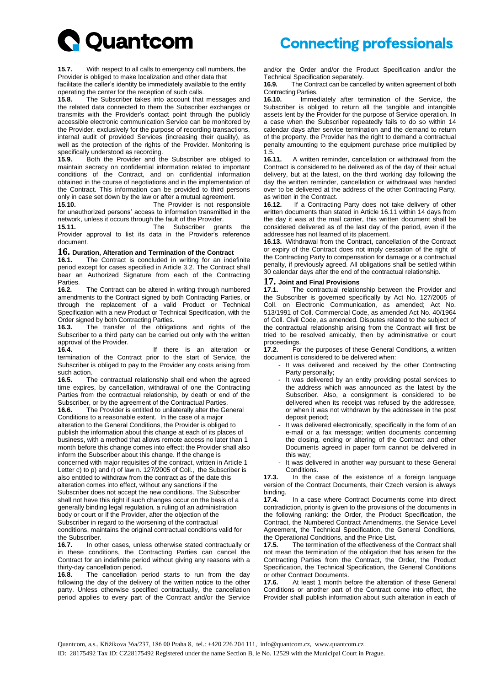

**15.7.** With respect to all calls to emergency call numbers, the Provider is obliged to make localization and other data that

facilitate the caller's identity be immediately available to the entity operating the center for the reception of such calls.

**15.8.** The Subscriber takes into account that messages and the related data connected to them the Subscriber exchanges or transmits with the Provider's contact point through the publicly accessible electronic communication Service can be monitored by the Provider, exclusively for the purpose of recording transactions, internal audit of provided Services (increasing their quality), as well as the protection of the rights of the Provider. Monitoring is specifically understood as recording.

**15.9.** Both the Provider and the Subscriber are obliged to maintain secrecy on confidential information related to important conditions of the Contract, and on confidential information obtained in the course of negotiations and in the implementation of the Contract. This information can be provided to third persons only in case set down by the law or after a mutual agreement.<br>15.10 The Provider is not responent

**15.10.** The Provider is not responsible for unauthorized persons' access to information transmitted in the network, unless it occurs through the fault of the Provider.<br>15.11 The Subscriber ara

**15.11.** The Subscriber grants the Provider approval to list its data in the Provider's reference document.

### **16. Duration, Alteration and Termination of the Contract**

**16.1.** The Contract is concluded in writing for an indefinite period except for cases specified in Article 3.2. The Contract shall bear an Authorized Signature from each of the Contracting Parties.<br>16.2.

**16.2.** The Contract can be altered in writing through numbered amendments to the Contract signed by both Contracting Parties, or through the replacement of a valid Product or Technical Specification with a new Product or Technical Specification, with the Order signed by both Contracting Parties.

**16.3.** The transfer of the obligations and rights of the Subscriber to a third party can be carried out only with the written approval of the Provider.

**16.4.** If there is an alteration or termination of the Contract prior to the start of Service, the Subscriber is obliged to pay to the Provider any costs arising from such action.

**16.5.** The contractual relationship shall end when the agreed time expires, by cancellation, withdrawal of one the Contracting Parties from the contractual relationship, by death or end of the Subscriber, or by the agreement of the Contractual Parties.

**16.6.** The Provider is entitled to unilaterally alter the General Conditions to a reasonable extent. In the case of a major alteration to the General Conditions, the Provider is obliged to publish the information about this change at each of its places of business, with a method that allows remote access no later than 1 month before this change comes into effect; the Provider shall also inform the Subscriber about this change. If the change is concerned with major requisites of the contract, written in Article 1 Letter c) to p) and r) of law n. 127/2005 of Coll., the Subscriber is also entitled to withdraw from the contract as of the date this alteration comes into effect, without any sanctions if the Subscriber does not accept the new conditions. The Subscriber shall not have this right if such changes occur on the basis of a generally binding legal regulation, a ruling of an administration body or court or if the Provider, after the objection of the Subscriber in regard to the worsening of the contractual conditions, maintains the original contractual conditions valid for the Subscriber.

**16.7.** In other cases, unless otherwise stated contractually or in these conditions, the Contracting Parties can cancel the Contract for an indefinite period without giving any reasons with a thirty-day cancellation period.

**16.8.** The cancellation period starts to run from the day following the day of the delivery of the written notice to the other party. Unless otherwise specified contractually, the cancellation period applies to every part of the Contract and/or the Service

and/or the Order and/or the Product Specification and/or the Technical Specification separately.<br>**16.9.** The Contract can be cance

**16.9.** The Contract can be cancelled by written agreement of both Contracting Parties.

**16.10.** Immediately after termination of the Service, the Subscriber is obliged to return all the tangible and intangible assets lent by the Provider for the purpose of Service operation. In a case when the Subscriber repeatedly fails to do so within 14 calendar days after service termination and the demand to return of the property, the Provider has the right to demand a contractual penalty amounting to the equipment purchase price multiplied by 1.5.

**16.11.** A written reminder, cancellation or withdrawal from the Contract is considered to be delivered as of the day of their actual delivery, but at the latest, on the third working day following the day the written reminder, cancellation or withdrawal was handed over to be delivered at the address of the other Contracting Party, as written in the Contract.<br>16.12. If a Contracting

**16.12.** If a Contracting Party does not take delivery of other written documents than stated in Article 16.11 within 14 days from the day it was at the mail carrier, this written document shall be considered delivered as of the last day of the period, even if the addressee has not learned of its placement.

**16.13.** Withdrawal from the Contract, cancellation of the Contract or expiry of the Contract does not imply cessation of the right of the Contracting Party to compensation for damage or a contractual penalty, if previously agreed. All obligations shall be settled within 30 calendar days after the end of the contractual relationship.

### **17. Joint and Final Provisions**

**17.1.** The contractual relationship between the Provider and the Subscriber is governed specifically by Act No. 127/2005 of Coll. on Electronic Communication, as amended; Act No. 513/1991 of Coll. Commercial Code, as amended Act No. 40/1964 of Coll. Civil Code, as amended. Disputes related to the subject of the contractual relationship arising from the Contract will first be tried to be resolved amicably, then by administrative or court proceedings.

**17.2.** For the purposes of these General Conditions, a written document is considered to be delivered when:

- It was delivered and received by the other Contracting Party personally;
- It was delivered by an entity providing postal services to the address which was announced as the latest by the Subscriber. Also, a consignment is considered to be delivered when its receipt was refused by the addressee, or when it was not withdrawn by the addressee in the post deposit period;
- It was delivered electronically, specifically in the form of an e-mail or a fax message; written documents concerning the closing, ending or altering of the Contract and other Documents agreed in paper form cannot be delivered in this way;
- It was delivered in another way pursuant to these General Conditions.

**17.3.** In the case of the existence of a foreign language version of the Contract Documents, their Czech version is always binding.

**17.4.** In a case where Contract Documents come into direct contradiction, priority is given to the provisions of the documents in the following ranking: the Order, the Product Specification, the Contract, the Numbered Contract Amendments, the Service Level Agreement, the Technical Specification, the General Conditions, the Operational Conditions, and the Price List.

**17.5.** The termination of the effectiveness of the Contract shall not mean the termination of the obligation that has arisen for the Contracting Parties from the Contract, the Order, the Product Specification, the Technical Specification, the General Conditions or other Contract Documents.

**17.6.** At least 1 month before the alteration of these General Conditions or another part of the Contract come into effect, the Provider shall publish information about such alteration in each of